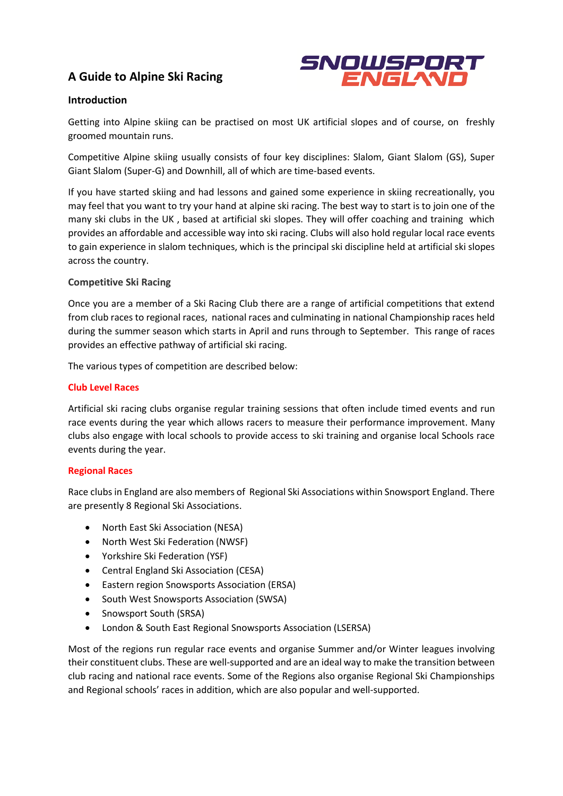# **A Guide to Alpine Ski Racing**



# **Introduction**

Getting into Alpine skiing can be practised on most UK artificial slopes and of course, on freshly groomed mountain runs.

Competitive Alpine skiing usually consists of four key disciplines: Slalom, Giant Slalom (GS), Super Giant Slalom (Super-G) and Downhill, all of which are time-based events.

If you have started skiing and had lessons and gained some experience in skiing recreationally, you may feel that you want to try your hand at alpine ski racing. The best way to start is to join one of the many ski clubs in the UK , based at artificial ski slopes. They will offer coaching and training which provides an affordable and accessible way into ski racing. Clubs will also hold regular local race events to gain experience in slalom techniques, which is the principal ski discipline held at artificial ski slopes across the country.

## **Competitive Ski Racing**

Once you are a member of a Ski Racing Club there are a range of artificial competitions that extend from club races to regional races, national races and culminating in national Championship races held during the summer season which starts in April and runs through to September. This range of races provides an effective pathway of artificial ski racing.

The various types of competition are described below:

## **Club Level Races**

Artificial ski racing clubs organise regular training sessions that often include timed events and run race events during the year which allows racers to measure their performance improvement. Many clubs also engage with local schools to provide access to ski training and organise local Schools race events during the year.

#### **Regional Races**

Race clubs in England are also members of Regional Ski Associations within Snowsport England. There are presently 8 Regional Ski Associations.

- North East Ski Association (NESA)
- North West Ski Federation (NWSF)
- Yorkshire Ski Federation (YSF)
- Central England Ski Association (CESA)
- Eastern region Snowsports Association (ERSA)
- South West Snowsports Association (SWSA)
- Snowsport South (SRSA)
- London & South East Regional Snowsports Association (LSERSA)

Most of the regions run regular race events and organise Summer and/or Winter leagues involving their constituent clubs. These are well-supported and are an ideal way to make the transition between club racing and national race events. Some of the Regions also organise Regional Ski Championships and Regional schools' races in addition, which are also popular and well-supported.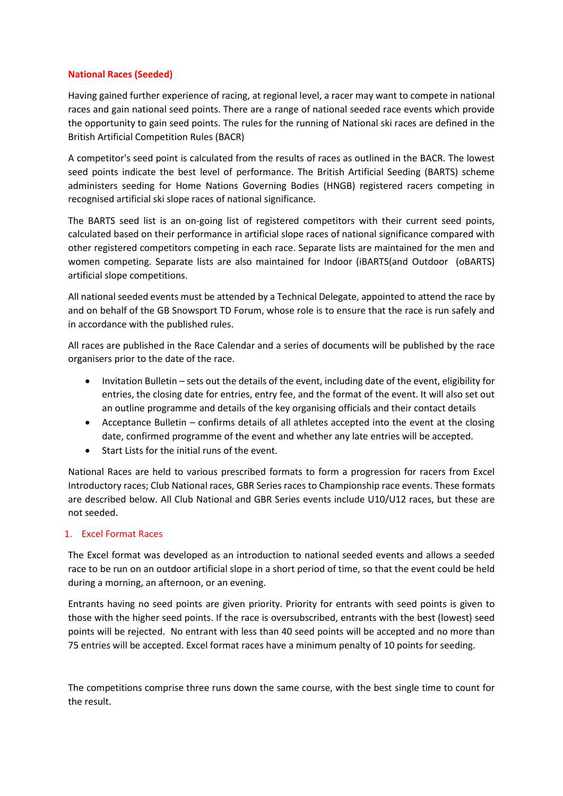#### **National Races (Seeded)**

Having gained further experience of racing, at regional level, a racer may want to compete in national races and gain national seed points. There are a range of national seeded race events which provide the opportunity to gain seed points. The rules for the running of National ski races are defined in the British Artificial Competition Rules (BACR)

A competitor's seed point is calculated from the results of races as outlined in the BACR. The lowest seed points indicate the best level of performance. The British Artificial Seeding (BARTS) scheme administers seeding for Home Nations Governing Bodies (HNGB) registered racers competing in recognised artificial ski slope races of national significance.

The BARTS seed list is an on-going list of registered competitors with their current seed points, calculated based on their performance in artificial slope races of national significance compared with other registered competitors competing in each race. Separate lists are maintained for the men and women competing. Separate lists are also maintained for Indoor (iBARTS(and Outdoor (oBARTS) artificial slope competitions.

All national seeded events must be attended by a Technical Delegate, appointed to attend the race by and on behalf of the GB Snowsport TD Forum, whose role is to ensure that the race is run safely and in accordance with the published rules.

All races are published in the Race Calendar and a series of documents will be published by the race organisers prior to the date of the race.

- Invitation Bulletin sets out the details of the event, including date of the event, eligibility for entries, the closing date for entries, entry fee, and the format of the event. It will also set out an outline programme and details of the key organising officials and their contact details
- Acceptance Bulletin confirms details of all athletes accepted into the event at the closing date, confirmed programme of the event and whether any late entries will be accepted.
- Start Lists for the initial runs of the event.

National Races are held to various prescribed formats to form a progression for racers from Excel Introductory races; Club National races, GBR Series races to Championship race events. These formats are described below. All Club National and GBR Series events include U10/U12 races, but these are not seeded.

# 1. Excel Format Races

The Excel format was developed as an introduction to national seeded events and allows a seeded race to be run on an outdoor artificial slope in a short period of time, so that the event could be held during a morning, an afternoon, or an evening.

Entrants having no seed points are given priority. Priority for entrants with seed points is given to those with the higher seed points. If the race is oversubscribed, entrants with the best (lowest) seed points will be rejected. No entrant with less than 40 seed points will be accepted and no more than 75 entries will be accepted. Excel format races have a minimum penalty of 10 points for seeding.

The competitions comprise three runs down the same course, with the best single time to count for the result.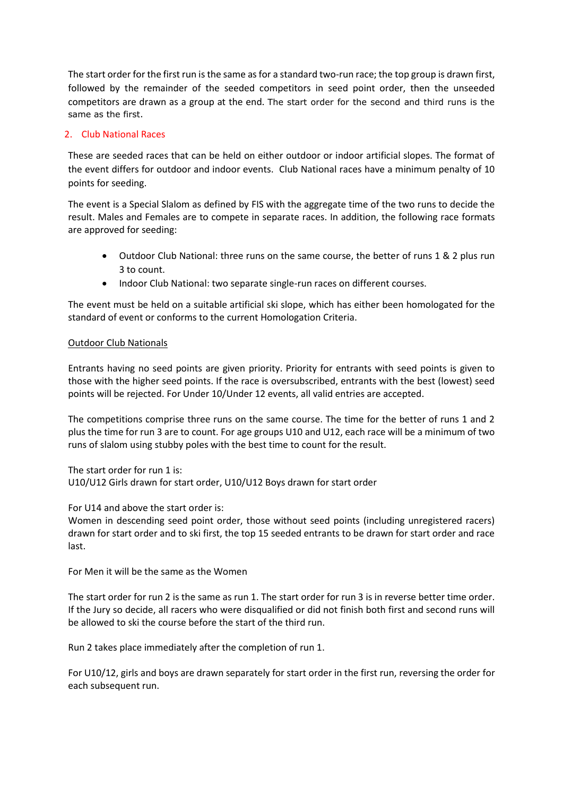The start order for the first run is the same as for a standard two-run race; the top group is drawn first, followed by the remainder of the seeded competitors in seed point order, then the unseeded competitors are drawn as a group at the end. The start order for the second and third runs is the same as the first.

## 2. Club National Races

These are seeded races that can be held on either outdoor or indoor artificial slopes. The format of the event differs for outdoor and indoor events. Club National races have a minimum penalty of 10 points for seeding.

The event is a Special Slalom as defined by FIS with the aggregate time of the two runs to decide the result. Males and Females are to compete in separate races. In addition, the following race formats are approved for seeding:

- Outdoor Club National: three runs on the same course, the better of runs 1 & 2 plus run 3 to count.
- Indoor Club National: two separate single-run races on different courses.

The event must be held on a suitable artificial ski slope, which has either been homologated for the standard of event or conforms to the current Homologation Criteria.

## Outdoor Club Nationals

Entrants having no seed points are given priority. Priority for entrants with seed points is given to those with the higher seed points. If the race is oversubscribed, entrants with the best (lowest) seed points will be rejected. For Under 10/Under 12 events, all valid entries are accepted.

The competitions comprise three runs on the same course. The time for the better of runs 1 and 2 plus the time for run 3 are to count. For age groups U10 and U12, each race will be a minimum of two runs of slalom using stubby poles with the best time to count for the result.

The start order for run 1 is: U10/U12 Girls drawn for start order, U10/U12 Boys drawn for start order

For U14 and above the start order is:

Women in descending seed point order, those without seed points (including unregistered racers) drawn for start order and to ski first, the top 15 seeded entrants to be drawn for start order and race last.

For Men it will be the same as the Women

The start order for run 2 is the same as run 1. The start order for run 3 is in reverse better time order. If the Jury so decide, all racers who were disqualified or did not finish both first and second runs will be allowed to ski the course before the start of the third run.

Run 2 takes place immediately after the completion of run 1.

For U10/12, girls and boys are drawn separately for start order in the first run, reversing the order for each subsequent run.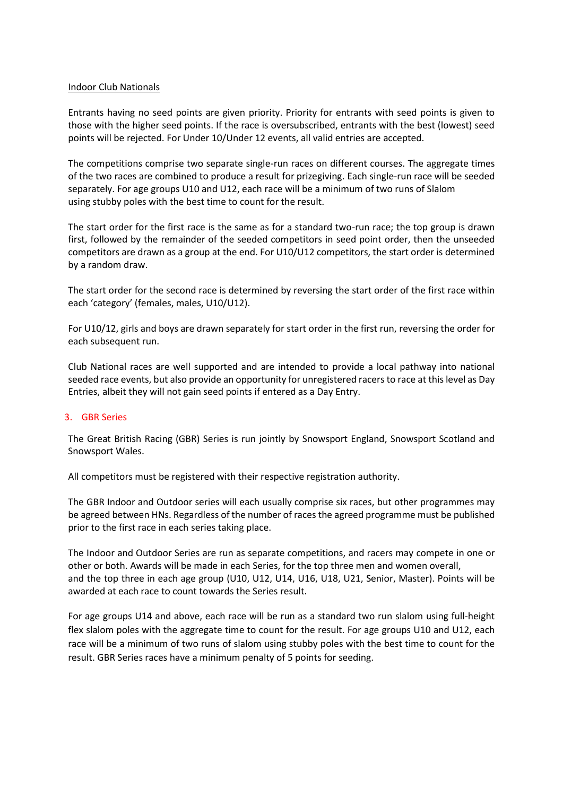#### Indoor Club Nationals

Entrants having no seed points are given priority. Priority for entrants with seed points is given to those with the higher seed points. If the race is oversubscribed, entrants with the best (lowest) seed points will be rejected. For Under 10/Under 12 events, all valid entries are accepted.

The competitions comprise two separate single-run races on different courses. The aggregate times of the two races are combined to produce a result for prizegiving. Each single-run race will be seeded separately. For age groups U10 and U12, each race will be a minimum of two runs of Slalom using stubby poles with the best time to count for the result.

The start order for the first race is the same as for a standard two-run race; the top group is drawn first, followed by the remainder of the seeded competitors in seed point order, then the unseeded competitors are drawn as a group at the end. For U10/U12 competitors, the start order is determined by a random draw.

The start order for the second race is determined by reversing the start order of the first race within each 'category' (females, males, U10/U12).

For U10/12, girls and boys are drawn separately for start order in the first run, reversing the order for each subsequent run.

Club National races are well supported and are intended to provide a local pathway into national seeded race events, but also provide an opportunity for unregistered racers to race at this level as Day Entries, albeit they will not gain seed points if entered as a Day Entry.

#### 3. GBR Series

The Great British Racing (GBR) Series is run jointly by Snowsport England, Snowsport Scotland and Snowsport Wales.

All competitors must be registered with their respective registration authority.

The GBR Indoor and Outdoor series will each usually comprise six races, but other programmes may be agreed between HNs. Regardless of the number of races the agreed programme must be published prior to the first race in each series taking place.

The Indoor and Outdoor Series are run as separate competitions, and racers may compete in one or other or both. Awards will be made in each Series, for the top three men and women overall, and the top three in each age group (U10, U12, U14, U16, U18, U21, Senior, Master). Points will be awarded at each race to count towards the Series result.

For age groups U14 and above, each race will be run as a standard two run slalom using full-height flex slalom poles with the aggregate time to count for the result. For age groups U10 and U12, each race will be a minimum of two runs of slalom using stubby poles with the best time to count for the result. GBR Series races have a minimum penalty of 5 points for seeding.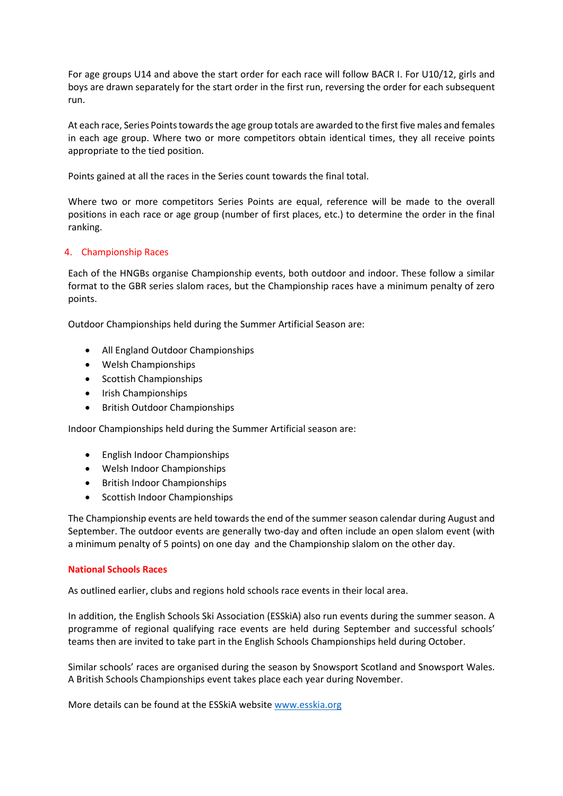For age groups U14 and above the start order for each race will follow BACR I. For U10/12, girls and boys are drawn separately for the start order in the first run, reversing the order for each subsequent run.

At each race, Series Points towards the age group totals are awarded to the first five males and females in each age group. Where two or more competitors obtain identical times, they all receive points appropriate to the tied position.

Points gained at all the races in the Series count towards the final total.

Where two or more competitors Series Points are equal, reference will be made to the overall positions in each race or age group (number of first places, etc.) to determine the order in the final ranking.

#### 4. Championship Races

Each of the HNGBs organise Championship events, both outdoor and indoor. These follow a similar format to the GBR series slalom races, but the Championship races have a minimum penalty of zero points.

Outdoor Championships held during the Summer Artificial Season are:

- All England Outdoor Championships
- Welsh Championships
- Scottish Championships
- Irish Championships
- British Outdoor Championships

Indoor Championships held during the Summer Artificial season are:

- English Indoor Championships
- Welsh Indoor Championships
- British Indoor Championships
- Scottish Indoor Championships

The Championship events are held towards the end of the summer season calendar during August and September. The outdoor events are generally two-day and often include an open slalom event (with a minimum penalty of 5 points) on one day and the Championship slalom on the other day.

#### **National Schools Races**

As outlined earlier, clubs and regions hold schools race events in their local area.

In addition, the English Schools Ski Association (ESSkiA) also run events during the summer season. A programme of regional qualifying race events are held during September and successful schools' teams then are invited to take part in the English Schools Championships held during October.

Similar schools' races are organised during the season by Snowsport Scotland and Snowsport Wales. A British Schools Championships event takes place each year during November.

More details can be found at the ESSkiA website [www.esskia.org](http://www.esskia.org/)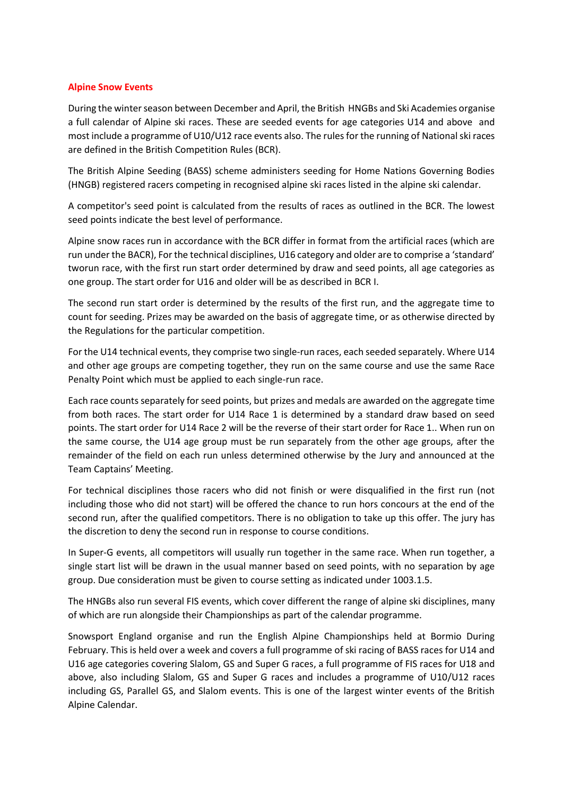#### **Alpine Snow Events**

During the winter season between December and April, the British HNGBs and Ski Academies organise a full calendar of Alpine ski races. These are seeded events for age categories U14 and above and most include a programme of U10/U12 race events also. The rules for the running of National ski races are defined in the British Competition Rules (BCR).

The British Alpine Seeding (BASS) scheme administers seeding for Home Nations Governing Bodies (HNGB) registered racers competing in recognised alpine ski races listed in the alpine ski calendar.

A competitor's seed point is calculated from the results of races as outlined in the BCR. The lowest seed points indicate the best level of performance.

Alpine snow races run in accordance with the BCR differ in format from the artificial races (which are run under the BACR), For the technical disciplines, U16 category and older are to comprise a 'standard' tworun race, with the first run start order determined by draw and seed points, all age categories as one group. The start order for U16 and older will be as described in BCR I.

The second run start order is determined by the results of the first run, and the aggregate time to count for seeding. Prizes may be awarded on the basis of aggregate time, or as otherwise directed by the Regulations for the particular competition.

For the U14 technical events, they comprise two single-run races, each seeded separately. Where U14 and other age groups are competing together, they run on the same course and use the same Race Penalty Point which must be applied to each single-run race.

Each race counts separately for seed points, but prizes and medals are awarded on the aggregate time from both races. The start order for U14 Race 1 is determined by a standard draw based on seed points. The start order for U14 Race 2 will be the reverse of their start order for Race 1.. When run on the same course, the U14 age group must be run separately from the other age groups, after the remainder of the field on each run unless determined otherwise by the Jury and announced at the Team Captains' Meeting.

For technical disciplines those racers who did not finish or were disqualified in the first run (not including those who did not start) will be offered the chance to run hors concours at the end of the second run, after the qualified competitors. There is no obligation to take up this offer. The jury has the discretion to deny the second run in response to course conditions.

In Super-G events, all competitors will usually run together in the same race. When run together, a single start list will be drawn in the usual manner based on seed points, with no separation by age group. Due consideration must be given to course setting as indicated under 1003.1.5.

The HNGBs also run several FIS events, which cover different the range of alpine ski disciplines, many of which are run alongside their Championships as part of the calendar programme.

Snowsport England organise and run the English Alpine Championships held at Bormio During February. This is held over a week and covers a full programme of ski racing of BASS races for U14 and U16 age categories covering Slalom, GS and Super G races, a full programme of FIS races for U18 and above, also including Slalom, GS and Super G races and includes a programme of U10/U12 races including GS, Parallel GS, and Slalom events. This is one of the largest winter events of the British Alpine Calendar.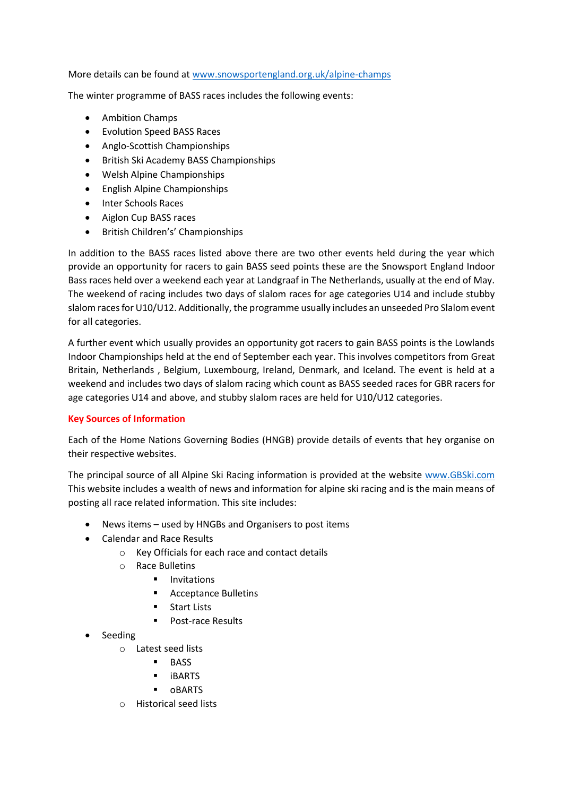More details can be found at [www.snowsportengland.org.uk/alpine-champs](http://www.snowsportengland.org.uk/alpine-champs)

The winter programme of BASS races includes the following events:

- Ambition Champs
- Evolution Speed BASS Races
- Anglo-Scottish Championships
- British Ski Academy BASS Championships
- Welsh Alpine Championships
- English Alpine Championships
- Inter Schools Races
- Aiglon Cup BASS races
- British Children's' Championships

In addition to the BASS races listed above there are two other events held during the year which provide an opportunity for racers to gain BASS seed points these are the Snowsport England Indoor Bass races held over a weekend each year at Landgraaf in The Netherlands, usually at the end of May. The weekend of racing includes two days of slalom races for age categories U14 and include stubby slalom races for U10/U12. Additionally, the programme usually includes an unseeded Pro Slalom event for all categories.

A further event which usually provides an opportunity got racers to gain BASS points is the Lowlands Indoor Championships held at the end of September each year. This involves competitors from Great Britain, Netherlands , Belgium, Luxembourg, Ireland, Denmark, and Iceland. The event is held at a weekend and includes two days of slalom racing which count as BASS seeded races for GBR racers for age categories U14 and above, and stubby slalom races are held for U10/U12 categories.

# **Key Sources of Information**

Each of the Home Nations Governing Bodies (HNGB) provide details of events that hey organise on their respective websites.

The principal source of all Alpine Ski Racing information is provided at the website [www.GBSki.com](http://www.gbski.com/)  This website includes a wealth of news and information for alpine ski racing and is the main means of posting all race related information. This site includes:

- News items used by HNGBs and Organisers to post items
- Calendar and Race Results
	- o Key Officials for each race and contact details
	- o Race Bulletins
		- Invitations
		- Acceptance Bulletins
		- Start Lists
		- Post-race Results
- Seeding
	- o Latest seed lists
		- BASS
		- iBARTS
		- oBARTS
	- o Historical seed lists